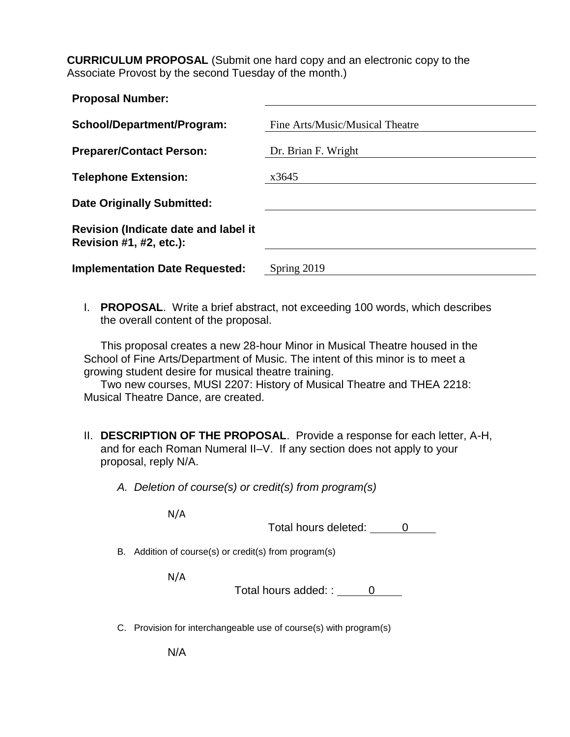**CURRICULUM PROPOSAL** (Submit one hard copy and an electronic copy to the Associate Provost by the second Tuesday of the month.)

| <b>Proposal Number:</b>                                         |                                 |
|-----------------------------------------------------------------|---------------------------------|
| School/Department/Program:                                      | Fine Arts/Music/Musical Theatre |
| <b>Preparer/Contact Person:</b>                                 | Dr. Brian F. Wright             |
| <b>Telephone Extension:</b>                                     | x3645                           |
| <b>Date Originally Submitted:</b>                               |                                 |
| Revision (Indicate date and label it<br>Revision #1, #2, etc.): |                                 |
| <b>Implementation Date Requested:</b>                           | Spring 2019                     |

I. **PROPOSAL**. Write a brief abstract, not exceeding 100 words, which describes the overall content of the proposal.

This proposal creates a new 28-hour Minor in Musical Theatre housed in the School of Fine Arts/Department of Music. The intent of this minor is to meet a growing student desire for musical theatre training.

Two new courses, MUSI 2207: History of Musical Theatre and THEA 2218: Musical Theatre Dance, are created.

II. **DESCRIPTION OF THE PROPOSAL**. Provide a response for each letter, A-H, and for each Roman Numeral II–V. If any section does not apply to your proposal, reply N/A.

*A. Deletion of course(s) or credit(s) from program(s)*

N/A

Total hours deleted: 0

B. Addition of course(s) or credit(s) from program(s)

N/A

Total hours added:  $\frac{0}{1}$ 

C. Provision for interchangeable use of course(s) with program(s)

N/A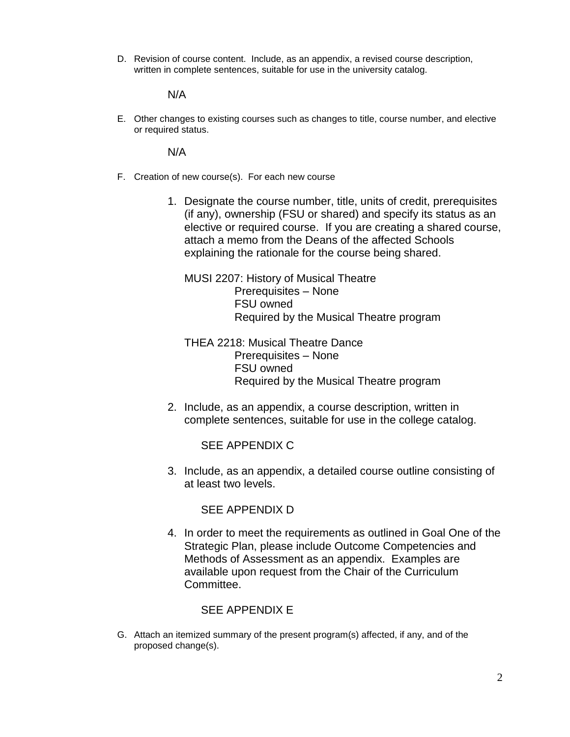D. Revision of course content. Include, as an appendix, a revised course description, written in complete sentences, suitable for use in the university catalog.

N/A

E. Other changes to existing courses such as changes to title, course number, and elective or required status.

N/A

- F. Creation of new course(s). For each new course
	- 1. Designate the course number, title, units of credit, prerequisites (if any), ownership (FSU or shared) and specify its status as an elective or required course. If you are creating a shared course, attach a memo from the Deans of the affected Schools explaining the rationale for the course being shared.

MUSI 2207: History of Musical Theatre Prerequisites – None FSU owned Required by the Musical Theatre program

THEA 2218: Musical Theatre Dance Prerequisites – None FSU owned Required by the Musical Theatre program

2. Include, as an appendix, a course description, written in complete sentences, suitable for use in the college catalog.

SEE APPENDIX C

3. Include, as an appendix, a detailed course outline consisting of at least two levels.

SEE APPENDIX D

4. In order to meet the requirements as outlined in Goal One of the Strategic Plan, please include Outcome Competencies and Methods of Assessment as an appendix. Examples are available upon request from the Chair of the Curriculum Committee.

### SEE APPENDIX E

G. Attach an itemized summary of the present program(s) affected, if any, and of the proposed change(s).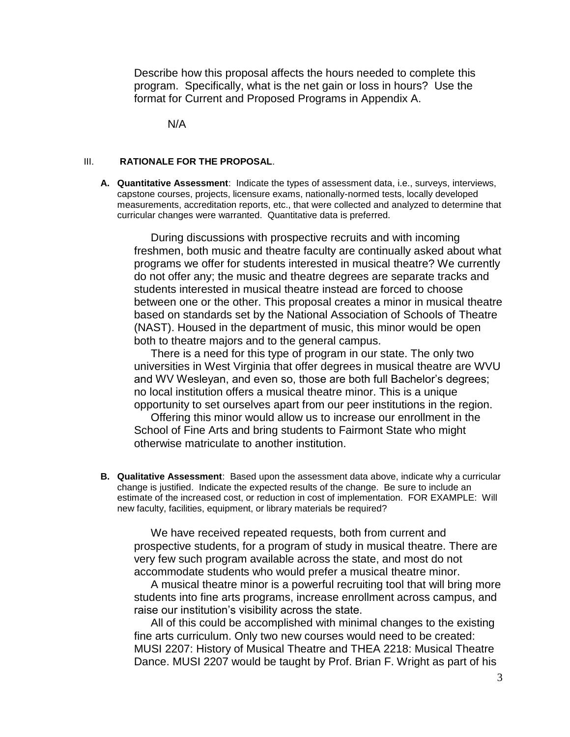Describe how this proposal affects the hours needed to complete this program. Specifically, what is the net gain or loss in hours? Use the format for Current and Proposed Programs in Appendix A.

N/A

#### III. **RATIONALE FOR THE PROPOSAL**.

**A. Quantitative Assessment**: Indicate the types of assessment data, i.e., surveys, interviews, capstone courses, projects, licensure exams, nationally-normed tests, locally developed measurements, accreditation reports, etc., that were collected and analyzed to determine that curricular changes were warranted. Quantitative data is preferred.

During discussions with prospective recruits and with incoming freshmen, both music and theatre faculty are continually asked about what programs we offer for students interested in musical theatre? We currently do not offer any; the music and theatre degrees are separate tracks and students interested in musical theatre instead are forced to choose between one or the other. This proposal creates a minor in musical theatre based on standards set by the National Association of Schools of Theatre (NAST). Housed in the department of music, this minor would be open both to theatre majors and to the general campus.

There is a need for this type of program in our state. The only two universities in West Virginia that offer degrees in musical theatre are WVU and WV Wesleyan, and even so, those are both full Bachelor's degrees; no local institution offers a musical theatre minor. This is a unique opportunity to set ourselves apart from our peer institutions in the region.

Offering this minor would allow us to increase our enrollment in the School of Fine Arts and bring students to Fairmont State who might otherwise matriculate to another institution.

**B. Qualitative Assessment**: Based upon the assessment data above, indicate why a curricular change is justified. Indicate the expected results of the change. Be sure to include an estimate of the increased cost, or reduction in cost of implementation. FOR EXAMPLE: Will new faculty, facilities, equipment, or library materials be required?

We have received repeated requests, both from current and prospective students, for a program of study in musical theatre. There are very few such program available across the state, and most do not accommodate students who would prefer a musical theatre minor.

A musical theatre minor is a powerful recruiting tool that will bring more students into fine arts programs, increase enrollment across campus, and raise our institution's visibility across the state.

All of this could be accomplished with minimal changes to the existing fine arts curriculum. Only two new courses would need to be created: MUSI 2207: History of Musical Theatre and THEA 2218: Musical Theatre Dance. MUSI 2207 would be taught by Prof. Brian F. Wright as part of his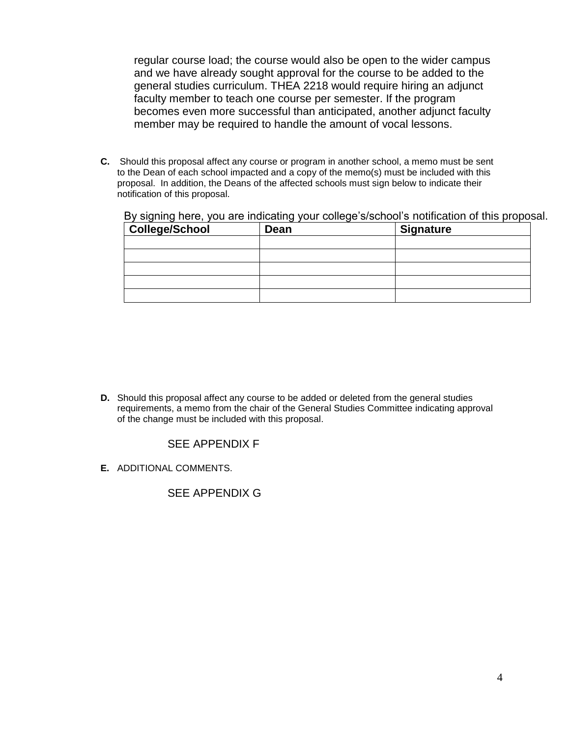regular course load; the course would also be open to the wider campus and we have already sought approval for the course to be added to the general studies curriculum. THEA 2218 would require hiring an adjunct faculty member to teach one course per semester. If the program becomes even more successful than anticipated, another adjunct faculty member may be required to handle the amount of vocal lessons.

**C.** Should this proposal affect any course or program in another school, a memo must be sent to the Dean of each school impacted and a copy of the memo(s) must be included with this proposal. In addition, the Deans of the affected schools must sign below to indicate their notification of this proposal.

By signing here, you are indicating your college's/school's notification of this proposal.

| College/School | Dean | <b>Signature</b> |
|----------------|------|------------------|
|                |      |                  |
|                |      |                  |
|                |      |                  |
|                |      |                  |
|                |      |                  |

**D.** Should this proposal affect any course to be added or deleted from the general studies requirements, a memo from the chair of the General Studies Committee indicating approval of the change must be included with this proposal.

### SEE APPENDIX F

**E.** ADDITIONAL COMMENTS.

### SEE APPENDIX G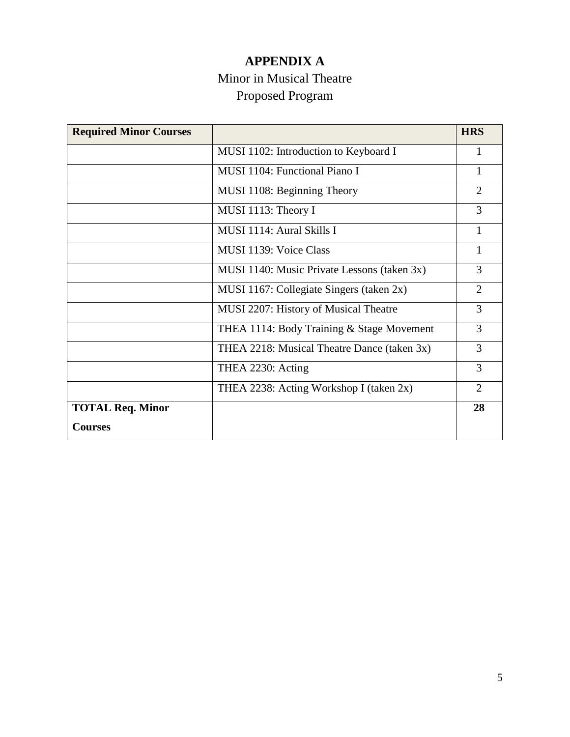# **APPENDIX A** Minor in Musical Theatre Proposed Program

| <b>Required Minor Courses</b> |                                             | <b>HRS</b>     |
|-------------------------------|---------------------------------------------|----------------|
|                               | MUSI 1102: Introduction to Keyboard I       | 1              |
|                               | MUSI 1104: Functional Piano I               | 1              |
|                               | MUSI 1108: Beginning Theory                 | $\overline{2}$ |
|                               | MUSI 1113: Theory I                         | 3              |
|                               | MUSI 1114: Aural Skills I                   | 1              |
|                               | MUSI 1139: Voice Class                      | $\mathbf{1}$   |
|                               | MUSI 1140: Music Private Lessons (taken 3x) | 3              |
|                               | MUSI 1167: Collegiate Singers (taken 2x)    | $\overline{2}$ |
|                               | MUSI 2207: History of Musical Theatre       | 3              |
|                               | THEA 1114: Body Training & Stage Movement   | 3              |
|                               | THEA 2218: Musical Theatre Dance (taken 3x) | 3              |
|                               | THEA 2230: Acting                           | 3              |
|                               | THEA 2238: Acting Workshop I (taken 2x)     | $\overline{2}$ |
| <b>TOTAL Req. Minor</b>       |                                             | 28             |
| <b>Courses</b>                |                                             |                |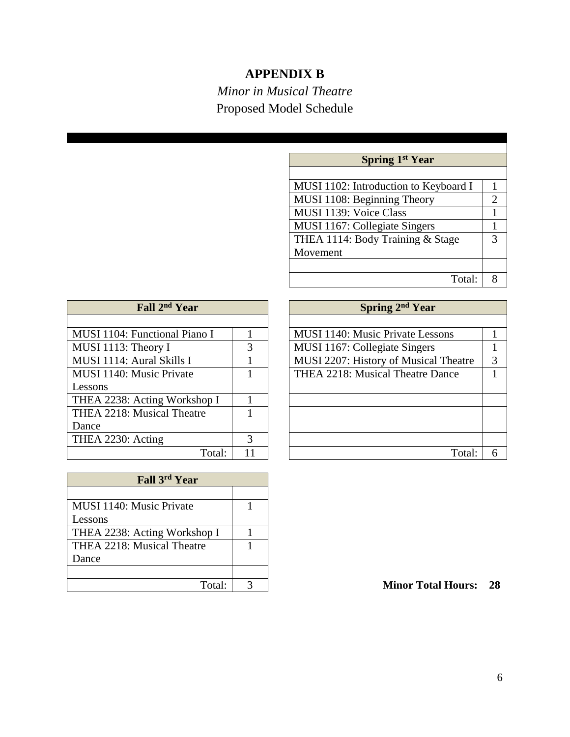## **APPENDIX B**

# *Minor in Musical Theatre* Proposed Model Schedule

| <b>Spring 1st Year</b>                |                |
|---------------------------------------|----------------|
|                                       |                |
| MUSI 1102: Introduction to Keyboard I | 1              |
| MUSI 1108: Beginning Theory           | $\overline{2}$ |
| MUSI 1139: Voice Class                | 1              |
| MUSI 1167: Collegiate Singers         | 1              |
| THEA 1114: Body Training & Stage      | 3              |
| Movement                              |                |
|                                       |                |
| Total:                                | 8              |

| Fall 2 <sup>nd</sup> Year     |   |
|-------------------------------|---|
|                               |   |
| MUSI 1104: Functional Piano I | 1 |
| MUSI 1113: Theory I           | 3 |
| MUSI 1114: Aural Skills I     |   |
| MUSI 1140: Music Private      |   |
| Lessons                       |   |
| THEA 2238: Acting Workshop I  | 1 |
| THEA 2218: Musical Theatre    |   |
| Dance                         |   |
| THEA 2230: Acting             |   |
| Total:                        |   |

| Fall 3rd Year                |  |
|------------------------------|--|
|                              |  |
| MUSI 1140: Music Private     |  |
| Lessons                      |  |
| THEA 2238: Acting Workshop I |  |
| THEA 2218: Musical Theatre   |  |
| Dance                        |  |
|                              |  |
| Total:                       |  |

| Fall 2 <sup>nd</sup> Year     |    | Spring 2 <sup>nd</sup> Year           |   |
|-------------------------------|----|---------------------------------------|---|
|                               |    |                                       |   |
| MUSI 1104: Functional Piano I |    | MUSI 1140: Music Private Lessons      |   |
| MUSI 1113: Theory I           | 3  | MUSI 1167: Collegiate Singers         |   |
| MUSI 1114: Aural Skills I     |    | MUSI 2207: History of Musical Theatre | 3 |
| MUSI 1140: Music Private      |    | THEA 2218: Musical Theatre Dance      |   |
| Lessons                       |    |                                       |   |
| THEA 2238: Acting Workshop I  |    |                                       |   |
| THEA 2218: Musical Theatre    |    |                                       |   |
| Dance                         |    |                                       |   |
| THEA 2230: Acting             | 3  |                                       |   |
| Total:                        | 11 | Total:                                | 6 |

Total: 3 **Minor Total Hours: 28**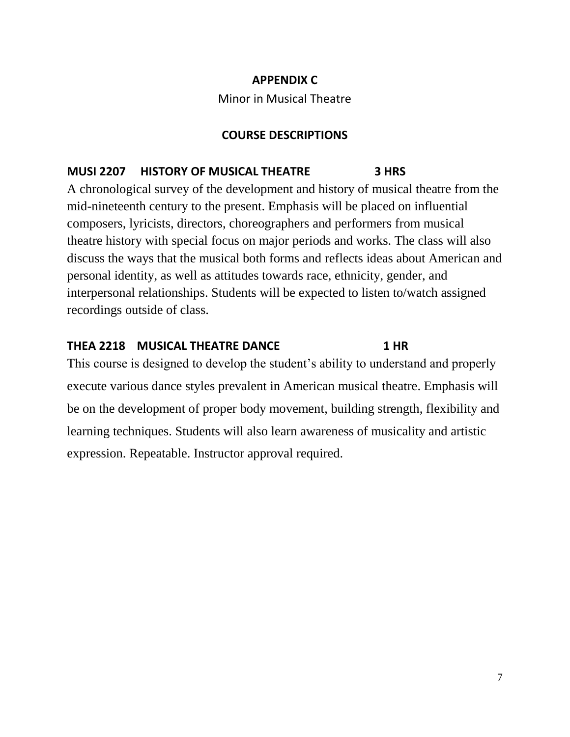## **APPENDIX C**

Minor in Musical Theatre

## **COURSE DESCRIPTIONS**

## **MUSI 2207 HISTORY OF MUSICAL THEATRE 3 HRS**

A chronological survey of the development and history of musical theatre from the mid-nineteenth century to the present. Emphasis will be placed on influential composers, lyricists, directors, choreographers and performers from musical theatre history with special focus on major periods and works. The class will also discuss the ways that the musical both forms and reflects ideas about American and personal identity, as well as attitudes towards race, ethnicity, gender, and interpersonal relationships. Students will be expected to listen to/watch assigned recordings outside of class.

### **THEA 2218 MUSICAL THEATRE DANCE 1 HR**

This course is designed to develop the student's ability to understand and properly execute various dance styles prevalent in American musical theatre. Emphasis will be on the development of proper body movement, building strength, flexibility and learning techniques. Students will also learn awareness of musicality and artistic expression. Repeatable. Instructor approval required.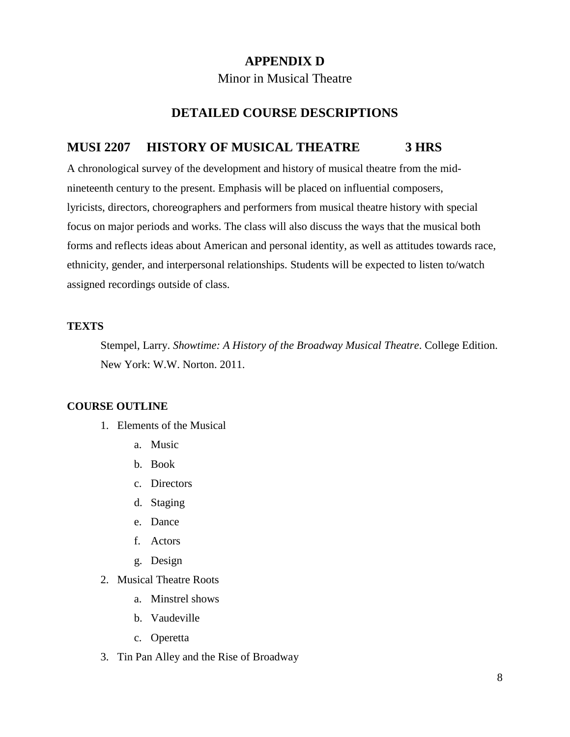## **APPENDIX D**

### Minor in Musical Theatre

### **DETAILED COURSE DESCRIPTIONS**

### **MUSI 2207 HISTORY OF MUSICAL THEATRE 3 HRS**

A chronological survey of the development and history of musical theatre from the midnineteenth century to the present. Emphasis will be placed on influential composers, lyricists, directors, choreographers and performers from musical theatre history with special focus on major periods and works. The class will also discuss the ways that the musical both forms and reflects ideas about American and personal identity, as well as attitudes towards race, ethnicity, gender, and interpersonal relationships. Students will be expected to listen to/watch assigned recordings outside of class.

#### **TEXTS**

Stempel, Larry. *Showtime: A History of the Broadway Musical Theatre*. College Edition. New York: W.W. Norton. 2011.

### **COURSE OUTLINE**

- 1. Elements of the Musical
	- a. Music
	- b. Book
	- c. Directors
	- d. Staging
	- e. Dance
	- f. Actors
	- g. Design
- 2. Musical Theatre Roots
	- a. Minstrel shows
	- b. Vaudeville
	- c. Operetta
- 3. Tin Pan Alley and the Rise of Broadway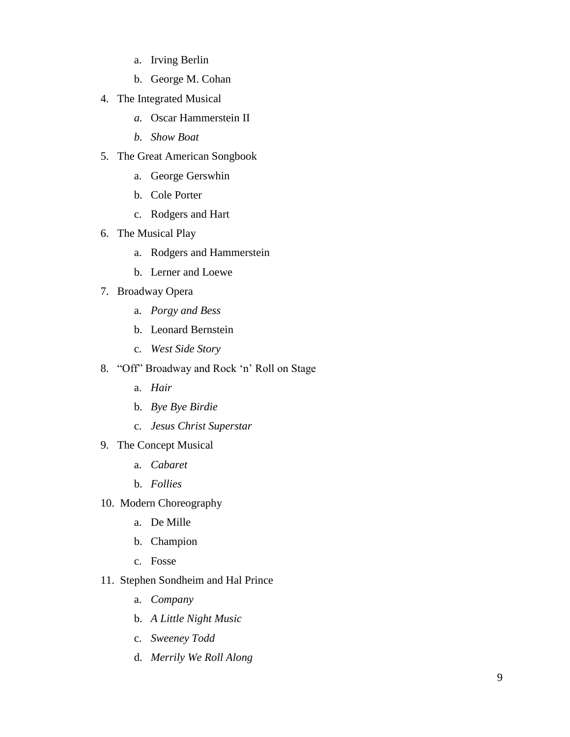- a. Irving Berlin
- b. George M. Cohan
- 4. The Integrated Musical
	- *a.* Oscar Hammerstein II
	- *b. Show Boat*
- 5. The Great American Songbook
	- a. George Gerswhin
	- b. Cole Porter
	- c. Rodgers and Hart
- 6. The Musical Play
	- a. Rodgers and Hammerstein
	- b. Lerner and Loewe
- 7. Broadway Opera
	- a. *Porgy and Bess*
	- b. Leonard Bernstein
	- c. *West Side Story*
- 8. "Off" Broadway and Rock 'n' Roll on Stage
	- a. *Hair*
	- b. *Bye Bye Birdie*
	- c. *Jesus Christ Superstar*
- 9. The Concept Musical
	- a. *Cabaret*
	- b. *Follies*
- 10. Modern Choreography
	- a. De Mille
	- b. Champion
	- c. Fosse
- 11. Stephen Sondheim and Hal Prince
	- a. *Company*
	- b. *A Little Night Music*
	- c. *Sweeney Todd*
	- d. *Merrily We Roll Along*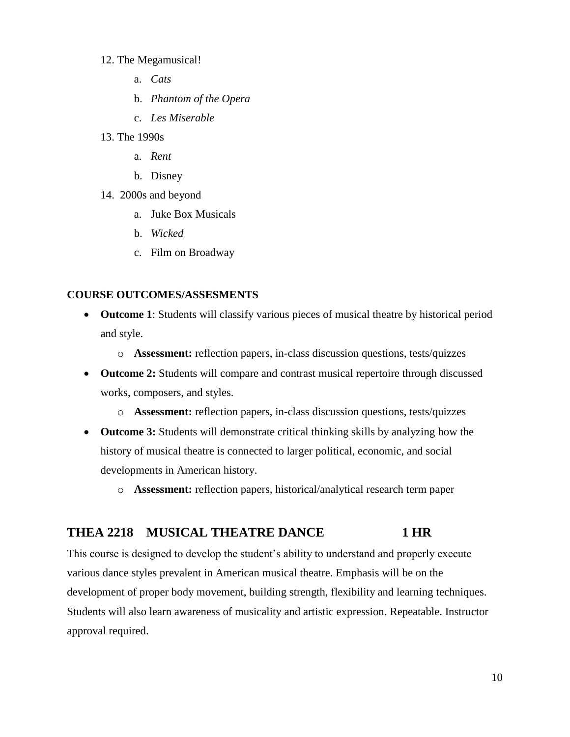#### 12. The Megamusical!

- a. *Cats*
- b. *Phantom of the Opera*
- c. *Les Miserable*
- 13. The 1990s
	- a. *Rent*
	- b. Disney
- 14. 2000s and beyond
	- a. Juke Box Musicals
	- b. *Wicked*
	- c. Film on Broadway

### **COURSE OUTCOMES/ASSESMENTS**

- **Outcome 1**: Students will classify various pieces of musical theatre by historical period and style.
	- o **Assessment:** reflection papers, in-class discussion questions, tests/quizzes
- **Outcome 2:** Students will compare and contrast musical repertoire through discussed works, composers, and styles.
	- o **Assessment:** reflection papers, in-class discussion questions, tests/quizzes
- **Outcome 3:** Students will demonstrate critical thinking skills by analyzing how the history of musical theatre is connected to larger political, economic, and social developments in American history.
	- o **Assessment:** reflection papers, historical/analytical research term paper

### THEA 2218 MUSICAL THEATRE DANCE 1 HR

This course is designed to develop the student's ability to understand and properly execute various dance styles prevalent in American musical theatre. Emphasis will be on the development of proper body movement, building strength, flexibility and learning techniques. Students will also learn awareness of musicality and artistic expression. Repeatable. Instructor approval required.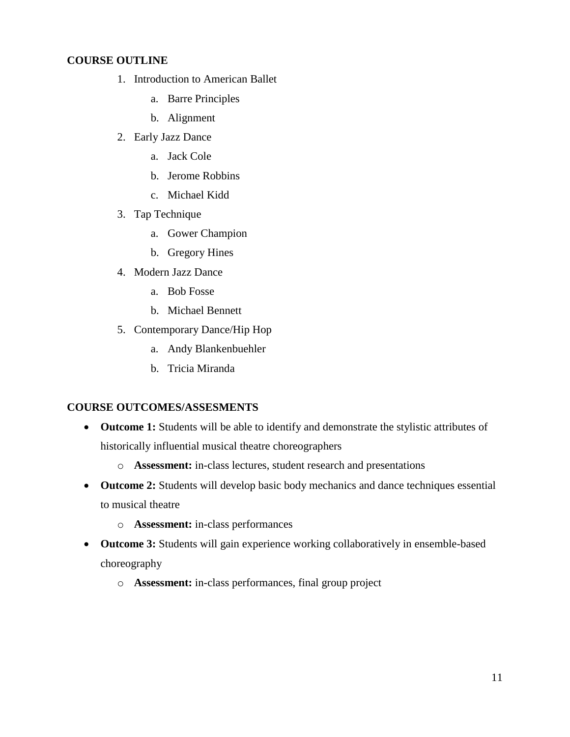### **COURSE OUTLINE**

- 1. Introduction to American Ballet
	- a. Barre Principles
	- b. Alignment
- 2. Early Jazz Dance
	- a. Jack Cole
	- b. Jerome Robbins
	- c. Michael Kidd
- 3. Tap Technique
	- a. Gower Champion
	- b. Gregory Hines
- 4. Modern Jazz Dance
	- a. Bob Fosse
	- b. Michael Bennett
- 5. Contemporary Dance/Hip Hop
	- a. Andy Blankenbuehler
	- b. Tricia Miranda

### **COURSE OUTCOMES/ASSESMENTS**

- **Outcome 1:** Students will be able to identify and demonstrate the stylistic attributes of historically influential musical theatre choreographers
	- o **Assessment:** in-class lectures, student research and presentations
- **Outcome 2:** Students will develop basic body mechanics and dance techniques essential to musical theatre
	- o **Assessment:** in-class performances
- **Outcome 3:** Students will gain experience working collaboratively in ensemble-based choreography
	- o **Assessment:** in-class performances, final group project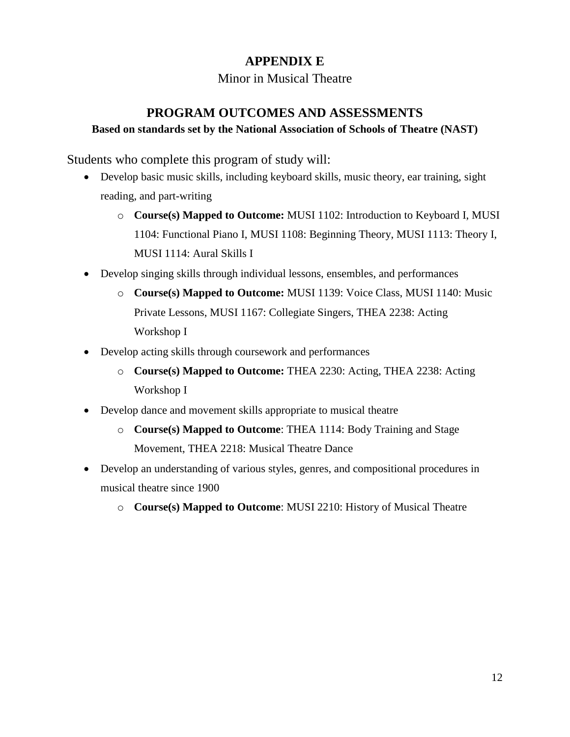## **APPENDIX E**

Minor in Musical Theatre

## **PROGRAM OUTCOMES AND ASSESSMENTS**

### **Based on standards set by the National Association of Schools of Theatre (NAST)**

Students who complete this program of study will:

- Develop basic music skills, including keyboard skills, music theory, ear training, sight reading, and part-writing
	- o **Course(s) Mapped to Outcome:** MUSI 1102: Introduction to Keyboard I, MUSI 1104: Functional Piano I, MUSI 1108: Beginning Theory, MUSI 1113: Theory I, MUSI 1114: Aural Skills I
- Develop singing skills through individual lessons, ensembles, and performances
	- o **Course(s) Mapped to Outcome:** MUSI 1139: Voice Class, MUSI 1140: Music Private Lessons, MUSI 1167: Collegiate Singers, THEA 2238: Acting Workshop I
- Develop acting skills through coursework and performances
	- o **Course(s) Mapped to Outcome:** THEA 2230: Acting, THEA 2238: Acting Workshop I
- Develop dance and movement skills appropriate to musical theatre
	- o **Course(s) Mapped to Outcome**: THEA 1114: Body Training and Stage Movement, THEA 2218: Musical Theatre Dance
- Develop an understanding of various styles, genres, and compositional procedures in musical theatre since 1900
	- o **Course(s) Mapped to Outcome**: MUSI 2210: History of Musical Theatre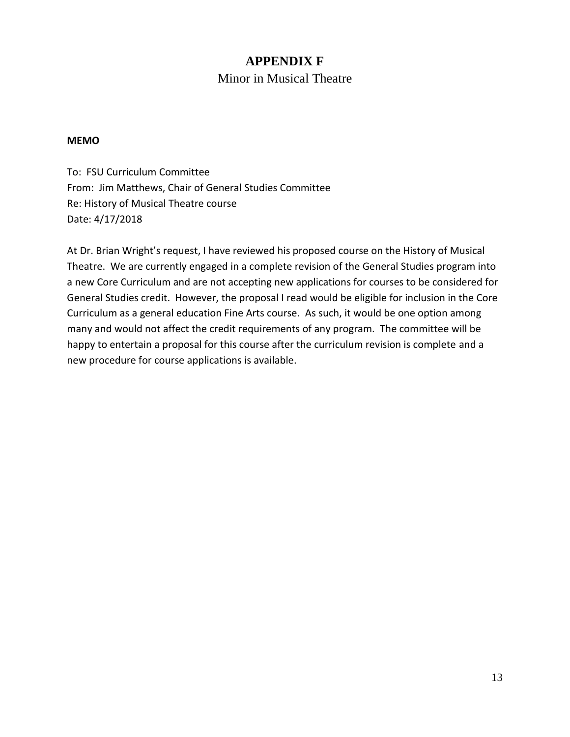## **APPENDIX F** Minor in Musical Theatre

### **MEMO**

To: FSU Curriculum Committee From: Jim Matthews, Chair of General Studies Committee Re: History of Musical Theatre course Date: 4/17/2018

At Dr. Brian Wright's request, I have reviewed his proposed course on the History of Musical Theatre. We are currently engaged in a complete revision of the General Studies program into a new Core Curriculum and are not accepting new applications for courses to be considered for General Studies credit. However, the proposal I read would be eligible for inclusion in the Core Curriculum as a general education Fine Arts course. As such, it would be one option among many and would not affect the credit requirements of any program. The committee will be happy to entertain a proposal for this course after the curriculum revision is complete and a new procedure for course applications is available.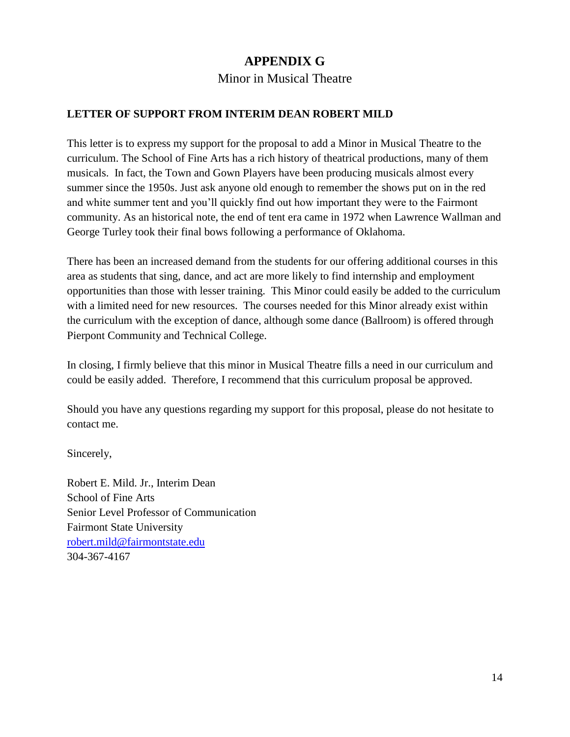## **APPENDIX G**

Minor in Musical Theatre

### **LETTER OF SUPPORT FROM INTERIM DEAN ROBERT MILD**

This letter is to express my support for the proposal to add a Minor in Musical Theatre to the curriculum. The School of Fine Arts has a rich history of theatrical productions, many of them musicals. In fact, the Town and Gown Players have been producing musicals almost every summer since the 1950s. Just ask anyone old enough to remember the shows put on in the red and white summer tent and you'll quickly find out how important they were to the Fairmont community. As an historical note, the end of tent era came in 1972 when Lawrence Wallman and George Turley took their final bows following a performance of Oklahoma.

There has been an increased demand from the students for our offering additional courses in this area as students that sing, dance, and act are more likely to find internship and employment opportunities than those with lesser training. This Minor could easily be added to the curriculum with a limited need for new resources. The courses needed for this Minor already exist within the curriculum with the exception of dance, although some dance (Ballroom) is offered through Pierpont Community and Technical College.

In closing, I firmly believe that this minor in Musical Theatre fills a need in our curriculum and could be easily added. Therefore, I recommend that this curriculum proposal be approved.

Should you have any questions regarding my support for this proposal, please do not hesitate to contact me.

Sincerely,

Robert E. Mild. Jr., Interim Dean School of Fine Arts Senior Level Professor of Communication Fairmont State University [robert.mild@fairmontstate.edu](mailto:robert.mild@fairmontstate.edu) 304-367-4167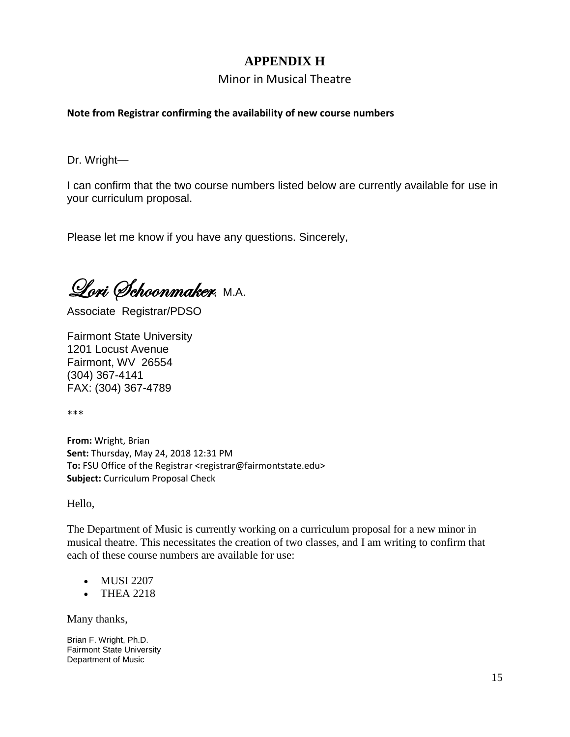## **APPENDIX H**

### Minor in Musical Theatre

### **Note from Registrar confirming the availability of new course numbers**

Dr. Wright—

I can confirm that the two course numbers listed below are currently available for use in your curriculum proposal.

Please let me know if you have any questions. Sincerely,

Lori Schoonmaker, M.A.

Associate Registrar/PDSO

Fairmont State University 1201 Locust Avenue Fairmont, WV 26554 (304) 367-4141 FAX: (304) 367-4789

\*\*\*

**From:** Wright, Brian **Sent:** Thursday, May 24, 2018 12:31 PM **To:** FSU Office of the Registrar <registrar@fairmontstate.edu> **Subject:** Curriculum Proposal Check

Hello,

The Department of Music is currently working on a curriculum proposal for a new minor in musical theatre. This necessitates the creation of two classes, and I am writing to confirm that each of these course numbers are available for use:

- MUSI 2207
- THEA 2218

Many thanks,

Brian F. Wright, Ph.D. Fairmont State University Department of Music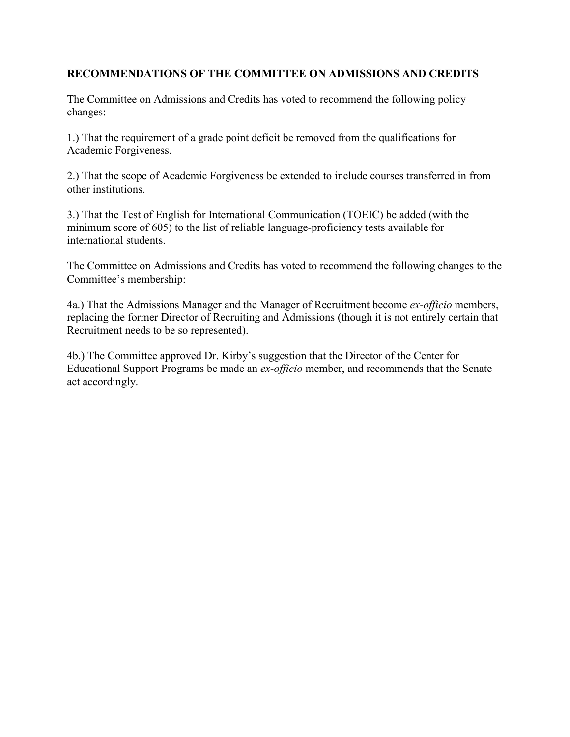### **RECOMMENDATIONS OF THE COMMITTEE ON ADMISSIONS AND CREDITS**

The Committee on Admissions and Credits has voted to recommend the following policy changes:

1.) That the requirement of a grade point deficit be removed from the qualifications for Academic Forgiveness.

2.) That the scope of Academic Forgiveness be extended to include courses transferred in from other institutions.

3.) That the Test of English for International Communication (TOEIC) be added (with the minimum score of 605) to the list of reliable language-proficiency tests available for international students.

The Committee on Admissions and Credits has voted to recommend the following changes to the Committee's membership:

4a.) That the Admissions Manager and the Manager of Recruitment become *ex-officio* members, replacing the former Director of Recruiting and Admissions (though it is not entirely certain that Recruitment needs to be so represented).

4b.) The Committee approved Dr. Kirby's suggestion that the Director of the Center for Educational Support Programs be made an *ex-officio* member, and recommends that the Senate act accordingly.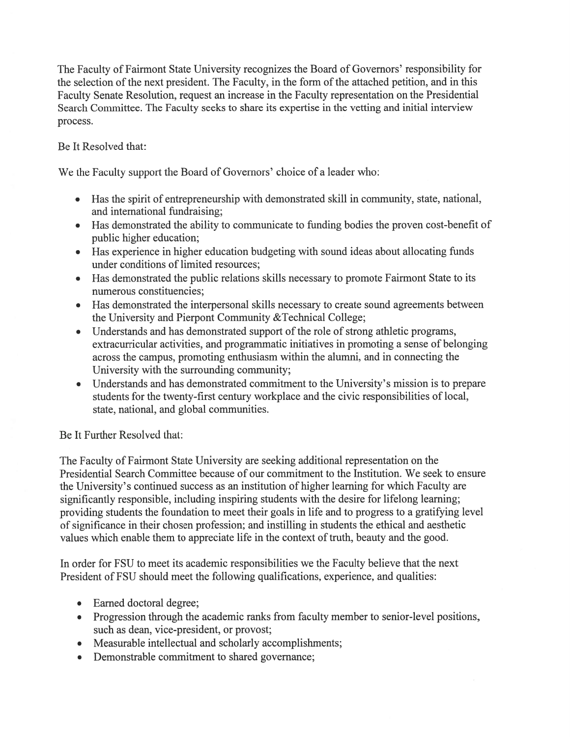The Faculty of Fairmont State University recognizes the Board of Governors' responsibility for the selection of the next president. The Faculty, in the form of the attached petition, and in this Faculty Senate Resolution, request an increase in the Faculty representation on the Presidential Search Committee. The Faculty seeks to share its expertise in the vetting and initial interview process.

Be It Resolved that:

We the Faculty support the Board of Governors' choice of a leader who:

- Has the spirit of entrepreneurship with demonstrated skill in community, state, national, and international fundraising:
- Has demonstrated the ability to communicate to funding bodies the proven cost-benefit of public higher education;
- Has experience in higher education budgeting with sound ideas about allocating funds under conditions of limited resources;
- Has demonstrated the public relations skills necessary to promote Fairmont State to its  $\bullet$ numerous constituencies;
- Has demonstrated the interpersonal skills necessary to create sound agreements between the University and Pierpont Community & Technical College;
- Understands and has demonstrated support of the role of strong athletic programs, extracurricular activities, and programmatic initiatives in promoting a sense of belonging across the campus, promoting enthusiasm within the alumni, and in connecting the University with the surrounding community;
- Understands and has demonstrated commitment to the University's mission is to prepare students for the twenty-first century workplace and the civic responsibilities of local, state, national, and global communities.

## Be It Further Resolved that:

The Faculty of Fairmont State University are seeking additional representation on the Presidential Search Committee because of our commitment to the Institution. We seek to ensure the University's continued success as an institution of higher learning for which Faculty are significantly responsible, including inspiring students with the desire for lifelong learning; providing students the foundation to meet their goals in life and to progress to a gratifying level of significance in their chosen profession; and instilling in students the ethical and aesthetic values which enable them to appreciate life in the context of truth, beauty and the good.

In order for FSU to meet its academic responsibilities we the Faculty believe that the next President of FSU should meet the following qualifications, experience, and qualities:

- Earned doctoral degree;
- Progression through the academic ranks from faculty member to senior-level positions, such as dean, vice-president, or provost;
- Measurable intellectual and scholarly accomplishments;
- Demonstrable commitment to shared governance;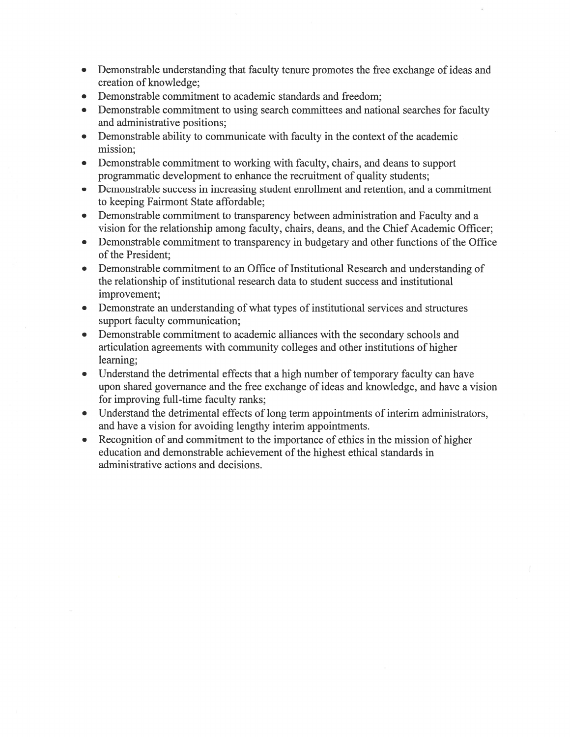- Demonstrable understanding that faculty tenure promotes the free exchange of ideas and  $\bullet$ creation of knowledge;
- Demonstrable commitment to academic standards and freedom;  $\bullet$
- Demonstrable commitment to using search committees and national searches for faculty  $\bullet$ and administrative positions;
- Demonstrable ability to communicate with faculty in the context of the academic  $\bullet$ mission:
- Demonstrable commitment to working with faculty, chairs, and deans to support programmatic development to enhance the recruitment of quality students;
- Demonstrable success in increasing student enrollment and retention, and a commitment  $\bullet$ to keeping Fairmont State affordable;
- Demonstrable commitment to transparency between administration and Faculty and a vision for the relationship among faculty, chairs, deans, and the Chief Academic Officer;
- Demonstrable commitment to transparency in budgetary and other functions of the Office of the President:
- Demonstrable commitment to an Office of Institutional Research and understanding of the relationship of institutional research data to student success and institutional improvement:
- Demonstrate an understanding of what types of institutional services and structures  $\bullet$ support faculty communication;
- Demonstrable commitment to academic alliances with the secondary schools and  $\bullet$ articulation agreements with community colleges and other institutions of higher learning:
- Understand the detrimental effects that a high number of temporary faculty can have upon shared governance and the free exchange of ideas and knowledge, and have a vision for improving full-time faculty ranks;
- Understand the detrimental effects of long term appointments of interim administrators, and have a vision for avoiding lengthy interim appointments.
- Recognition of and commitment to the importance of ethics in the mission of higher  $\bullet$ education and demonstrable achievement of the highest ethical standards in administrative actions and decisions.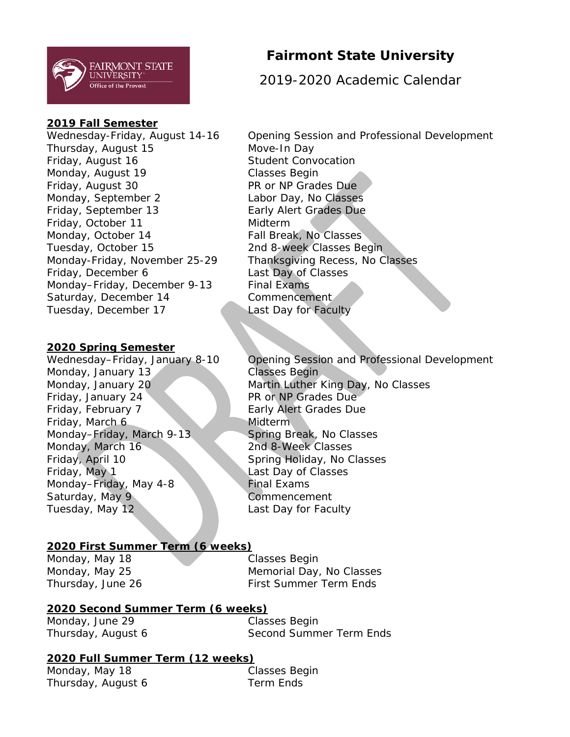

### **2019 Fall Semester**

Thursday, August 15 Move-In Day Friday, August 16 Student Convocation Monday, August 19 Classes Begin Friday, August 30 PR or NP Grades Due Monday, September 2 Labor Day, No Classes Friday, September 13 Early Alert Grades Due Friday, October 11 Midterm Monday, October 14 Fall Break, No Classes Tuesday, October 15 2nd 8-week Classes Begin Monday-Friday, November 25-29 Thanksgiving Recess, No Classes Friday, December 6 Last Day of Classes Monday–Friday, December 9-13 Final Exams Saturday, December 14 Commencement Tuesday, December 17 Last Day for Faculty

### **2020 Spring Semester**

Monday, January 13 Classes Begin Friday, January 24 **PR or NP Grades Due** Friday, February 7 Early Alert Grades Due Friday, March 6 Midterm Monday–Friday, March 9-13 Spring Break, No Classes Monday, March 16 2nd 8-Week Classes Friday, April 10 Spring Holiday, No Classes Friday, May 1 Last Day of Classes Monday–Friday, May 4-8 Final Exams Saturday, May 9 Commencement Tuesday, May 12 Last Day for Faculty

### **2020 First Summer Term (6 weeks)**

Monday, May 18 Classes Begin

Monday, May 25 Memorial Day, No Classes Thursday, June 26 First Summer Term Ends

### **2020 Second Summer Term (6 weeks)**

Monday, June 29 Classes Begin

Thursday, August 6 Second Summer Term Ends

### **2020 Full Summer Term (12 weeks)**

Monday, May 18 Classes Begin Thursday, August 6 Term Ends

## **Fairmont State University**

2019-2020 Academic Calendar

Wednesday-Friday, August 14-16 Opening Session and Professional Development

Wednesday–Friday, January 8-10 Opening Session and Professional Development Monday, January 20 Martin Luther King Day, No Classes